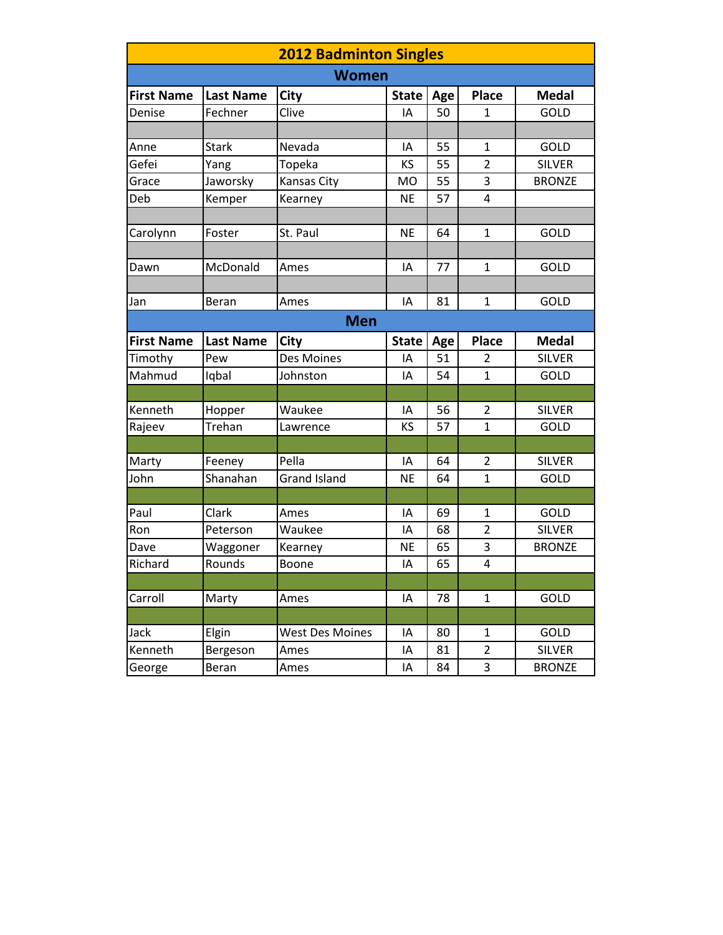| <b>2012 Badminton Singles</b> |                  |                        |              |     |                |               |  |
|-------------------------------|------------------|------------------------|--------------|-----|----------------|---------------|--|
| <b>Women</b>                  |                  |                        |              |     |                |               |  |
| <b>First Name</b>             | <b>Last Name</b> | City                   | <b>State</b> | Age | <b>Place</b>   | <b>Medal</b>  |  |
| Denise                        | Fechner          | Clive                  | IA           | 50  | 1              | GOLD          |  |
|                               |                  |                        |              |     |                |               |  |
| Anne                          | <b>Stark</b>     | Nevada                 | ΙA           | 55  | $\mathbf{1}$   | GOLD          |  |
| Gefei                         | Yang             | Topeka                 | KS           | 55  | $\overline{2}$ | <b>SILVER</b> |  |
| Grace                         | Jaworsky         | Kansas City            | MO           | 55  | 3              | <b>BRONZE</b> |  |
| Deb                           | Kemper           | Kearney                | <b>NE</b>    | 57  | 4              |               |  |
|                               |                  |                        |              |     |                |               |  |
| Carolynn                      | Foster           | St. Paul               | <b>NE</b>    | 64  | $\mathbf{1}$   | GOLD          |  |
|                               |                  |                        |              |     |                |               |  |
| Dawn                          | McDonald         | Ames                   | IA           | 77  | $\mathbf{1}$   | GOLD          |  |
|                               |                  |                        |              |     |                |               |  |
| Jan                           | Beran            | Ames                   | IA           | 81  | $\mathbf{1}$   | <b>GOLD</b>   |  |
| <b>Men</b>                    |                  |                        |              |     |                |               |  |
| <b>First Name</b>             | <b>Last Name</b> | City                   | <b>State</b> | Age | <b>Place</b>   | <b>Medal</b>  |  |
| Timothy                       | Pew              | Des Moines             | IA           | 51  | 2              | <b>SILVER</b> |  |
| Mahmud                        | Iqbal            | Johnston               | IA           | 54  | $\mathbf{1}$   | GOLD          |  |
|                               |                  |                        |              |     |                |               |  |
| Kenneth                       | Hopper           | Waukee                 | IA           | 56  | $\overline{2}$ | <b>SILVER</b> |  |
| Rajeev                        | Trehan           | Lawrence               | KS           | 57  | $\mathbf{1}$   | GOLD          |  |
|                               |                  |                        |              |     |                |               |  |
| Marty                         | Feeney           | Pella                  | IA           | 64  | 2              | <b>SILVER</b> |  |
| John                          | Shanahan         | <b>Grand Island</b>    | <b>NE</b>    | 64  | $\mathbf{1}$   | GOLD          |  |
|                               |                  |                        |              |     |                |               |  |
| Paul                          | Clark            | Ames                   | IA           | 69  | $\mathbf{1}$   | GOLD          |  |
| Ron                           | Peterson         | Waukee                 | IA           | 68  | $\overline{2}$ | <b>SILVER</b> |  |
| Dave                          | Waggoner         | Kearney                | <b>NE</b>    | 65  | 3              | <b>BRONZE</b> |  |
| Richard                       | Rounds           | Boone                  | IA           | 65  | 4              |               |  |
|                               |                  |                        |              |     |                |               |  |
| Carroll                       | Marty            | Ames                   | ΙA           | 78  | $\mathbf{1}$   | GOLD          |  |
|                               |                  |                        |              |     |                |               |  |
| Jack                          | Elgin            | <b>West Des Moines</b> | ΙA           | 80  | $\mathbf{1}$   | GOLD          |  |
| Kenneth                       | Bergeson         | Ames                   | ΙA           | 81  | $\overline{2}$ | <b>SILVER</b> |  |
| George                        | Beran            | Ames                   | ΙA           | 84  | 3              | <b>BRONZE</b> |  |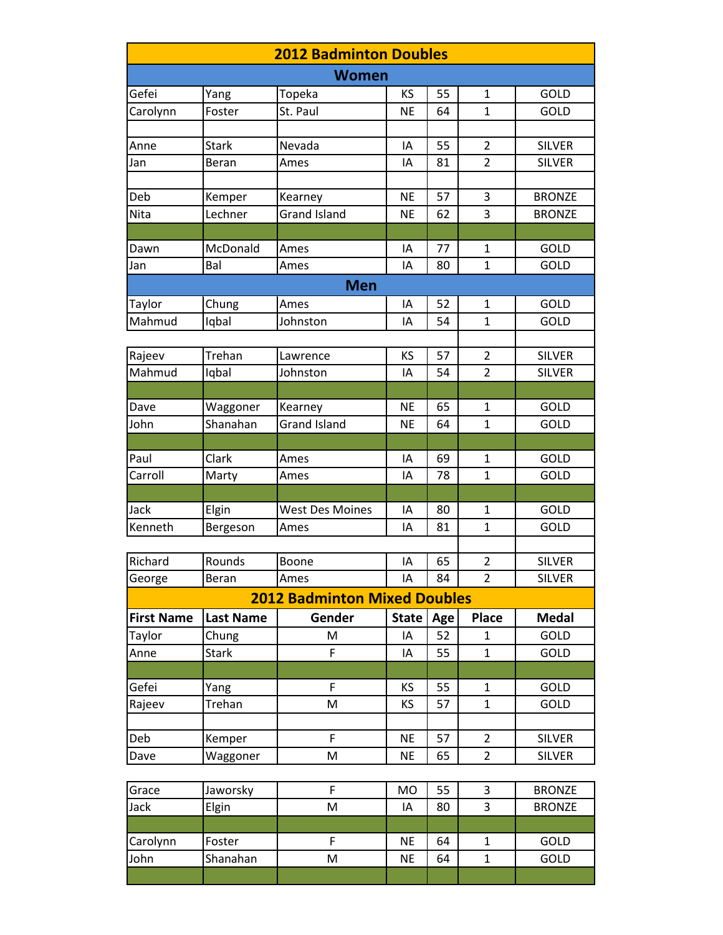| <b>2012 Badminton Doubles</b> |                  |                                     |              |     |                |               |  |
|-------------------------------|------------------|-------------------------------------|--------------|-----|----------------|---------------|--|
| <b>Women</b>                  |                  |                                     |              |     |                |               |  |
| Gefei                         | Yang             | Topeka                              | KS           | 55  | $\mathbf{1}$   | GOLD          |  |
| Carolynn                      | Foster           | St. Paul                            | <b>NE</b>    | 64  | $\mathbf{1}$   | GOLD          |  |
|                               |                  |                                     |              |     |                |               |  |
| Anne                          | <b>Stark</b>     | Nevada                              | IA           | 55  | $\overline{2}$ | <b>SILVER</b> |  |
| Jan                           | Beran            | Ames                                | IA           | 81  | $\overline{2}$ | <b>SILVER</b> |  |
|                               |                  |                                     |              |     |                |               |  |
| Deb                           | Kemper           | Kearney                             | <b>NE</b>    | 57  | 3              | <b>BRONZE</b> |  |
| Nita                          | Lechner          | <b>Grand Island</b>                 | <b>NE</b>    | 62  | 3              | <b>BRONZE</b> |  |
|                               |                  |                                     |              |     |                |               |  |
| Dawn                          | McDonald         | Ames                                | IA           | 77  | $\mathbf{1}$   | GOLD          |  |
| Jan                           | Bal              | Ames                                | IA           | 80  | $\mathbf{1}$   | GOLD          |  |
|                               |                  | <b>Men</b>                          |              |     |                |               |  |
| Taylor                        | Chung            | Ames                                | IA           | 52  | $\mathbf{1}$   | GOLD          |  |
| Mahmud                        | Iqbal            | Johnston                            | IA           | 54  | $\mathbf{1}$   | GOLD          |  |
|                               |                  |                                     |              |     |                |               |  |
| Rajeev                        | Trehan           | Lawrence                            | KS           | 57  | $\overline{2}$ | <b>SILVER</b> |  |
| Mahmud                        | Iqbal            | Johnston                            | IA           | 54  | $\overline{2}$ | <b>SILVER</b> |  |
|                               |                  |                                     |              |     |                |               |  |
| Dave                          | Waggoner         | Kearney                             | <b>NE</b>    | 65  | $\mathbf{1}$   | GOLD          |  |
| John                          | Shanahan         | <b>Grand Island</b>                 | <b>NE</b>    | 64  | $\mathbf{1}$   | GOLD          |  |
|                               |                  |                                     |              |     |                |               |  |
| Paul                          | Clark            | Ames                                | IA           | 69  | $\mathbf{1}$   | GOLD          |  |
| Carroll                       | Marty            | Ames                                | IA           | 78  | $\mathbf{1}$   | GOLD          |  |
|                               |                  |                                     |              |     |                |               |  |
| Jack                          | Elgin            | <b>West Des Moines</b>              | IA           | 80  | $\mathbf{1}$   | GOLD          |  |
| Kenneth                       | Bergeson         | Ames                                | IA           | 81  | $\mathbf{1}$   | GOLD          |  |
|                               |                  |                                     |              |     |                |               |  |
| Richard                       | Rounds           | Boone                               | IA           | 65  | $\overline{2}$ | <b>SILVER</b> |  |
| George                        | Beran            | Ames                                | IA           | 84  | $\overline{2}$ | <b>SILVER</b> |  |
|                               |                  | <b>2012 Badminton Mixed Doubles</b> |              |     |                |               |  |
| <b>First Name</b>             | <b>Last Name</b> | Gender                              | <b>State</b> | Age | <b>Place</b>   | <b>Medal</b>  |  |
| Taylor                        | Chung            | M                                   | IA           | 52  | $\mathbf{1}$   | GOLD          |  |
| Anne                          | <b>Stark</b>     | F                                   | IA           | 55  | $\mathbf{1}$   | GOLD          |  |
|                               |                  |                                     |              |     |                |               |  |
| Gefei                         | Yang             | F                                   | KS           | 55  | $\mathbf{1}$   | GOLD          |  |
| Rajeev                        | Trehan           | M                                   | <b>KS</b>    | 57  | $\mathbf{1}$   | GOLD          |  |
|                               |                  |                                     |              |     |                |               |  |
| Deb                           | Kemper           | F                                   | <b>NE</b>    | 57  | $\overline{2}$ | <b>SILVER</b> |  |
| Dave                          | Waggoner         | M                                   | NE           | 65  | $\overline{2}$ | <b>SILVER</b> |  |
|                               |                  |                                     |              |     |                |               |  |
| Grace                         | Jaworsky         | F                                   | <b>MO</b>    | 55  | 3              | <b>BRONZE</b> |  |
| Jack                          | Elgin            | M                                   | IA           | 80  | 3              | <b>BRONZE</b> |  |
|                               |                  |                                     |              |     |                |               |  |
| Carolynn                      | Foster           | F                                   | <b>NE</b>    | 64  | $\mathbf{1}$   | GOLD          |  |
| John                          | Shanahan         | M                                   | <b>NE</b>    | 64  | $\mathbf{1}$   | GOLD          |  |
|                               |                  |                                     |              |     |                |               |  |